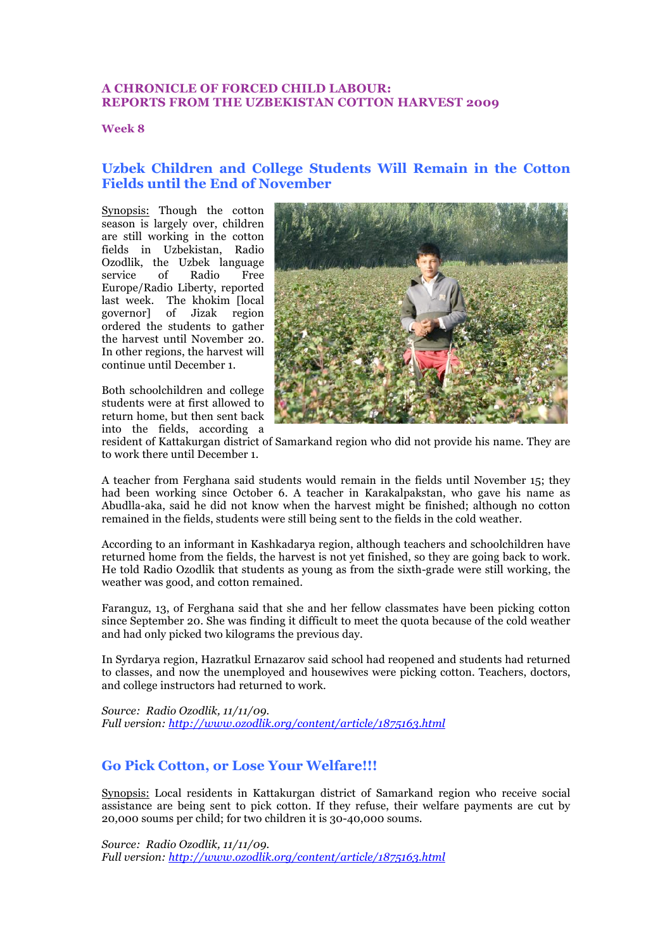#### **A CHRONICLE OF FORCED CHILD LABOUR: REPORTS FROM THE UZBEKISTAN COTTON HARVEST 2009**

**Week 8**

## **Uzbek Children and College Students Will Remain in the Cotton Fields until the End of November**

Synopsis: Though the cotton season is largely over, children are still working in the cotton fields in Uzbekistan, Radio Ozodlik, the Uzbek language service of Radio Free Europe/Radio Liberty, reported last week. The khokim [local governor] of Jizak region ordered the students to gather the harvest until November 20. In other regions, the harvest will continue until December 1.

Both schoolchildren and college students were at first allowed to return home, but then sent back into the fields, according a



resident of Kattakurgan district of Samarkand region who did not provide his name. They are to work there until December 1.

A teacher from Ferghana said students would remain in the fields until November 15; they had been working since October 6. A teacher in Karakalpakstan, who gave his name as Abudlla-aka, said he did not know when the harvest might be finished; although no cotton remained in the fields, students were still being sent to the fields in the cold weather.

According to an informant in Kashkadarya region, although teachers and schoolchildren have returned home from the fields, the harvest is not yet finished, so they are going back to work. He told Radio Ozodlik that students as young as from the sixth-grade were still working, the weather was good, and cotton remained.

Faranguz, 13, of Ferghana said that she and her fellow classmates have been picking cotton since September 20. She was finding it difficult to meet the quota because of the cold weather and had only picked two kilograms the previous day.

In Syrdarya region, Hazratkul Ernazarov said school had reopened and students had returned to classes, and now the unemployed and housewives were picking cotton. Teachers, doctors, and college instructors had returned to work.

*Source: Radio Ozodlik, 11/11/09. Full version: http://www.ozodlik.org/content/article/1875163.html*

## **Go Pick Cotton, or Lose Your Welfare!!!**

Synopsis: Local residents in Kattakurgan district of Samarkand region who receive social assistance are being sent to pick cotton. If they refuse, their welfare payments are cut by 20,000 soums per child; for two children it is 30-40,000 soums.

*Source: Radio Ozodlik, 11/11/09. Full version: http://www.ozodlik.org/content/article/1875163.html*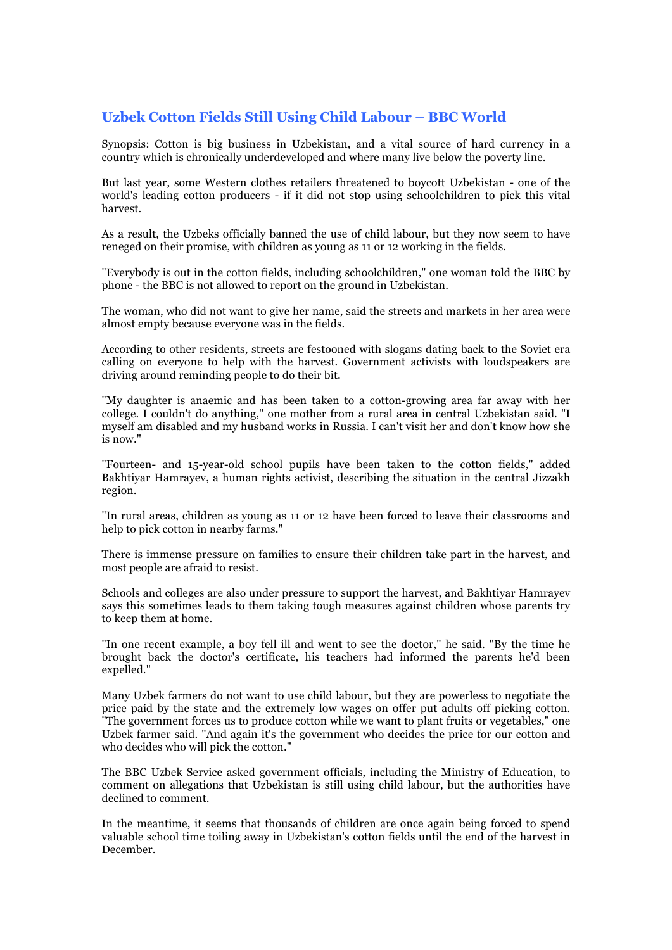# **Uzbek Cotton Fields Still Using Child Labour – BBC World**

Synopsis: Cotton is big business in Uzbekistan, and a vital source of hard currency in a country which is chronically underdeveloped and where many live below the poverty line.

But last year, some Western clothes retailers threatened to boycott Uzbekistan - one of the world's leading cotton producers - if it did not stop using schoolchildren to pick this vital harvest.

As a result, the Uzbeks officially banned the use of child labour, but they now seem to have reneged on their promise, with children as young as 11 or 12 working in the fields.

"Everybody is out in the cotton fields, including schoolchildren," one woman told the BBC by phone - the BBC is not allowed to report on the ground in Uzbekistan.

The woman, who did not want to give her name, said the streets and markets in her area were almost empty because everyone was in the fields.

According to other residents, streets are festooned with slogans dating back to the Soviet era calling on everyone to help with the harvest. Government activists with loudspeakers are driving around reminding people to do their bit.

"My daughter is anaemic and has been taken to a cotton-growing area far away with her college. I couldn't do anything," one mother from a rural area in central Uzbekistan said. "I myself am disabled and my husband works in Russia. I can't visit her and don't know how she is now."

"Fourteen- and 15-year-old school pupils have been taken to the cotton fields," added Bakhtiyar Hamrayev, a human rights activist, describing the situation in the central Jizzakh region.

"In rural areas, children as young as 11 or 12 have been forced to leave their classrooms and help to pick cotton in nearby farms."

There is immense pressure on families to ensure their children take part in the harvest, and most people are afraid to resist.

Schools and colleges are also under pressure to support the harvest, and Bakhtiyar Hamrayev says this sometimes leads to them taking tough measures against children whose parents try to keep them at home.

"In one recent example, a boy fell ill and went to see the doctor," he said. "By the time he brought back the doctor's certificate, his teachers had informed the parents he'd been expelled."

Many Uzbek farmers do not want to use child labour, but they are powerless to negotiate the price paid by the state and the extremely low wages on offer put adults off picking cotton. "The government forces us to produce cotton while we want to plant fruits or vegetables," one Uzbek farmer said. "And again it's the government who decides the price for our cotton and who decides who will pick the cotton."

The BBC Uzbek Service asked government officials, including the Ministry of Education, to comment on allegations that Uzbekistan is still using child labour, but the authorities have declined to comment.

In the meantime, it seems that thousands of children are once again being forced to spend valuable school time toiling away in Uzbekistan's cotton fields until the end of the harvest in December.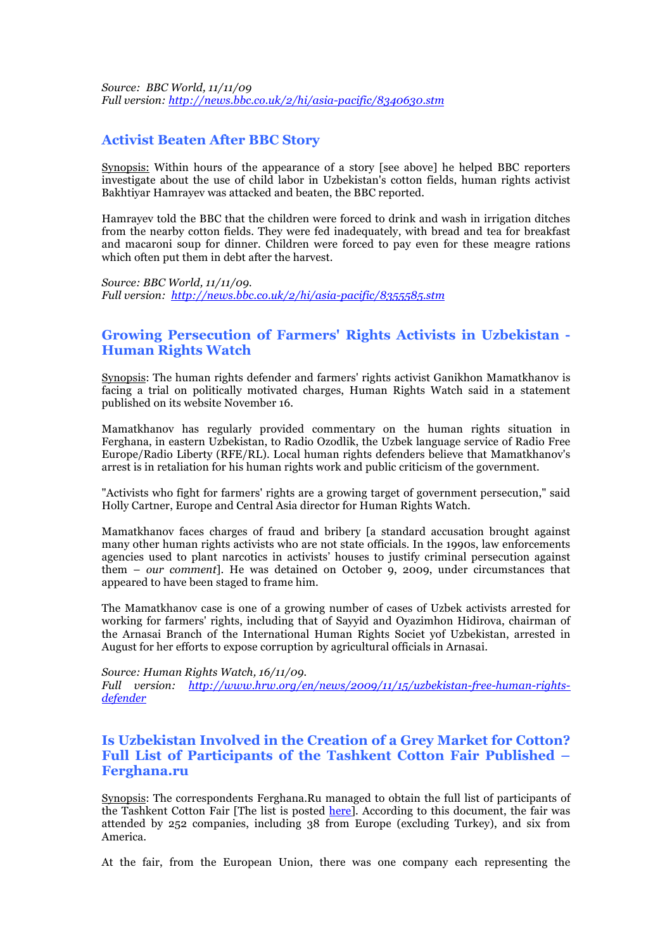*Source: BBC World, 11/11/09 Full version: http://news.bbc.co.uk/2/hi/asia-pacific/8340630.stm*

#### **Activist Beaten After BBC Story**

Synopsis: Within hours of the appearance of a story [see above] he helped BBC reporters investigate about the use of child labor in Uzbekistan's cotton fields, human rights activist Bakhtiyar Hamrayev was attacked and beaten, the BBC reported.

Hamrayev told the BBC that the children were forced to drink and wash in irrigation ditches from the nearby cotton fields. They were fed inadequately, with bread and tea for breakfast and macaroni soup for dinner. Children were forced to pay even for these meagre rations which often put them in debt after the harvest.

*Source: BBC World, 11/11/09. Full version: http://news.bbc.co.uk/2/hi/asia-pacific/8355585.stm*

#### **Growing Persecution of Farmers' Rights Activists in Uzbekistan - Human Rights Watch**

Synopsis: The human rights defender and farmers' rights activist Ganikhon Mamatkhanov is facing a trial on politically motivated charges, Human Rights Watch said in a statement published on its website November 16.

Mamatkhanov has regularly provided commentary on the human rights situation in Ferghana, in eastern Uzbekistan, to Radio Ozodlik, the Uzbek language service of Radio Free Europe/Radio Liberty (RFE/RL). Local human rights defenders believe that Mamatkhanov's arrest is in retaliation for his human rights work and public criticism of the government.

"Activists who fight for farmers' rights are a growing target of government persecution," said Holly Cartner, Europe and Central Asia director for Human Rights Watch.

Mamatkhanov faces charges of fraud and bribery [a standard accusation brought against many other human rights activists who are not state officials. In the 1990s, law enforcements agencies used to plant narcotics in activists' houses to justify criminal persecution against them – *our comment*]. He was detained on October 9, 2009, under circumstances that appeared to have been staged to frame him.

The Mamatkhanov case is one of a growing number of cases of Uzbek activists arrested for working for farmers' rights, including that of Sayyid and Oyazimhon Hidirova, chairman of the Arnasai Branch of the International Human Rights Societ yof Uzbekistan, arrested in August for her efforts to expose corruption by agricultural officials in Arnasai.

#### *Source: Human Rights Watch, 16/11/09.*

*Full version: http://www.hrw.org/en/news/2009/11/15/uzbekistan-free-human-rightsdefender*

## **Is Uzbekistan Involved in the Creation of a Grey Market for Cotton? Full List of Participants of the Tashkent Cotton Fair Published – Ferghana.ru**

Synopsis: The correspondents Ferghana.Ru managed to obtain the full list of participants of the Tashkent Cotton Fair [The list is posted here]. According to this document, the fair was attended by 252 companies, including 38 from Europe (excluding Turkey), and six from America.

At the fair, from the European Union, there was one company each representing the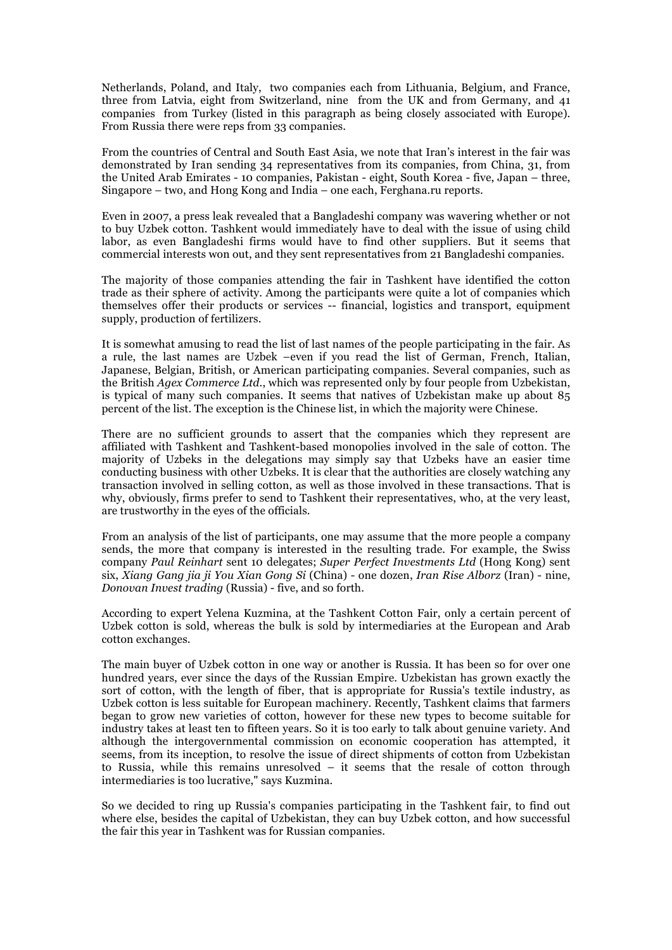Netherlands, Poland, and Italy, two companies each from Lithuania, Belgium, and France, three from Latvia, eight from Switzerland, nine from the UK and from Germany, and 41 companies from Turkey (listed in this paragraph as being closely associated with Europe). From Russia there were reps from 33 companies.

From the countries of Central and South East Asia, we note that Iran's interest in the fair was demonstrated by Iran sending 34 representatives from its companies, from China, 31, from the United Arab Emirates - 10 companies, Pakistan - eight, South Korea - five, Japan – three, Singapore – two, and Hong Kong and India – one each, Ferghana.ru reports.

Even in 2007, a press leak revealed that a Bangladeshi company was wavering whether or not to buy Uzbek cotton. Tashkent would immediately have to deal with the issue of using child labor, as even Bangladeshi firms would have to find other suppliers. But it seems that commercial interests won out, and they sent representatives from 21 Bangladeshi companies.

The majority of those companies attending the fair in Tashkent have identified the cotton trade as their sphere of activity. Among the participants were quite a lot of companies which themselves offer their products or services -- financial, logistics and transport, equipment supply, production of fertilizers.

It is somewhat amusing to read the list of last names of the people participating in the fair. As a rule, the last names are Uzbek –even if you read the list of German, French, Italian, Japanese, Belgian, British, or American participating companies. Several companies, such as the British *Agex Commerce Ltd*., which was represented only by four people from Uzbekistan, is typical of many such companies. It seems that natives of Uzbekistan make up about 85 percent of the list. The exception is the Chinese list, in which the majority were Chinese.

There are no sufficient grounds to assert that the companies which they represent are affiliated with Tashkent and Tashkent-based monopolies involved in the sale of cotton. The majority of Uzbeks in the delegations may simply say that Uzbeks have an easier time conducting business with other Uzbeks. It is clear that the authorities are closely watching any transaction involved in selling cotton, as well as those involved in these transactions. That is why, obviously, firms prefer to send to Tashkent their representatives, who, at the very least, are trustworthy in the eyes of the officials.

From an analysis of the list of participants, one may assume that the more people a company sends, the more that company is interested in the resulting trade. For example, the Swiss company *Paul Reinhart* sent 10 delegates; *Super Perfect Investments Ltd* (Hong Kong) sent six, *Xiang Gang jia ji You Xian Gong Si* (China) - one dozen, *Iran Rise Alborz* (Iran) - nine, *Donovan Invest trading* (Russia) - five, and so forth.

According to expert Yelena Kuzmina, at the Tashkent Cotton Fair, only a certain percent of Uzbek cotton is sold, whereas the bulk is sold by intermediaries at the European and Arab cotton exchanges.

The main buyer of Uzbek cotton in one way or another is Russia. It has been so for over one hundred years, ever since the days of the Russian Empire. Uzbekistan has grown exactly the sort of cotton, with the length of fiber, that is appropriate for Russia's textile industry, as Uzbek cotton is less suitable for European machinery. Recently, Tashkent claims that farmers began to grow new varieties of cotton, however for these new types to become suitable for industry takes at least ten to fifteen years. So it is too early to talk about genuine variety. And although the intergovernmental commission on economic cooperation has attempted, it seems, from its inception, to resolve the issue of direct shipments of cotton from Uzbekistan to Russia, while this remains unresolved – it seems that the resale of cotton through intermediaries is too lucrative," says Kuzmina.

So we decided to ring up Russia's companies participating in the Tashkent fair, to find out where else, besides the capital of Uzbekistan, they can buy Uzbek cotton, and how successful the fair this year in Tashkent was for Russian companies.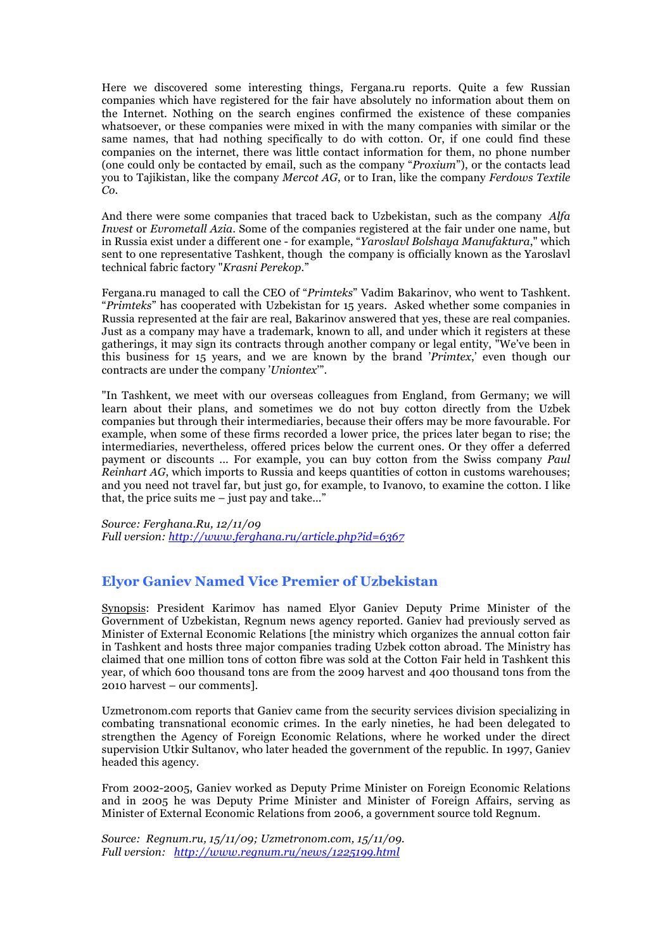Here we discovered some interesting things, Fergana.ru reports. Quite a few Russian companies which have registered for the fair have absolutely no information about them on the Internet. Nothing on the search engines confirmed the existence of these companies whatsoever, or these companies were mixed in with the many companies with similar or the same names, that had nothing specifically to do with cotton. Or, if one could find these companies on the internet, there was little contact information for them, no phone number (one could only be contacted by email, such as the company "*Proxium*"), or the contacts lead you to Tajikistan, like the company *Mercot AG*, or to Iran, like the company *Ferdows Textile Co*.

And there were some companies that traced back to Uzbekistan, such as the company *Alfa Invest* or *Evrometall Azia*. Some of the companies registered at the fair under one name, but in Russia exist under a different one - for example, "*Yaroslavl Bolshaya Manufaktura*," which sent to one representative Tashkent, though the company is officially known as the Yaroslavl technical fabric factory "*Krasni Perekop*."

Fergana.ru managed to call the CEO of "*Primteks*" Vadim Bakarinov, who went to Tashkent. "*Primteks*" has cooperated with Uzbekistan for 15 years. Asked whether some companies in Russia represented at the fair are real, Bakarinov answered that yes, these are real companies. Just as a company may have a trademark, known to all, and under which it registers at these gatherings, it may sign its contracts through another company or legal entity, "We've been in this business for 15 years, and we are known by the brand '*Primtex*,' even though our contracts are under the company '*Uniontex*'".

"In Tashkent, we meet with our overseas colleagues from England, from Germany; we will learn about their plans, and sometimes we do not buy cotton directly from the Uzbek companies but through their intermediaries, because their offers may be more favourable. For example, when some of these firms recorded a lower price, the prices later began to rise; the intermediaries, nevertheless, offered prices below the current ones. Or they offer a deferred payment or discounts ... For example, you can buy cotton from the Swiss company *Paul Reinhart AG*, which imports to Russia and keeps quantities of cotton in customs warehouses; and you need not travel far, but just go, for example, to Ivanovo, to examine the cotton. I like that, the price suits me  $-$  just pay and take..."

*Source: Ferghana.Ru, 12/11/09 Full version: http://www.ferghana.ru/article.php?id=6367*

## **Elyor Ganiev Named Vice Premier of Uzbekistan**

Synopsis: President Karimov has named Elyor Ganiev Deputy Prime Minister of the Government of Uzbekistan, Regnum news agency reported. Ganiev had previously served as Minister of External Economic Relations [the ministry which organizes the annual cotton fair in Tashkent and hosts three major companies trading Uzbek cotton abroad. The Ministry has claimed that one million tons of cotton fibre was sold at the Cotton Fair held in Tashkent this year, of which 600 thousand tons are from the 2009 harvest and 400 thousand tons from the 2010 harvest – our comments].

Uzmetronom.com reports that Ganiev came from the security services division specializing in combating transnational economic crimes. In the early nineties, he had been delegated to strengthen the Agency of Foreign Economic Relations, where he worked under the direct supervision Utkir Sultanov, who later headed the government of the republic. In 1997, Ganiev headed this agency.

From 2002-2005, Ganiev worked as Deputy Prime Minister on Foreign Economic Relations and in 2005 he was Deputy Prime Minister and Minister of Foreign Affairs, serving as Minister of External Economic Relations from 2006, a government source told Regnum.

*Source: Regnum.ru, 15/11/09; Uzmetronom.com, 15/11/09. Full version: http://www.regnum.ru/news/1225199.html*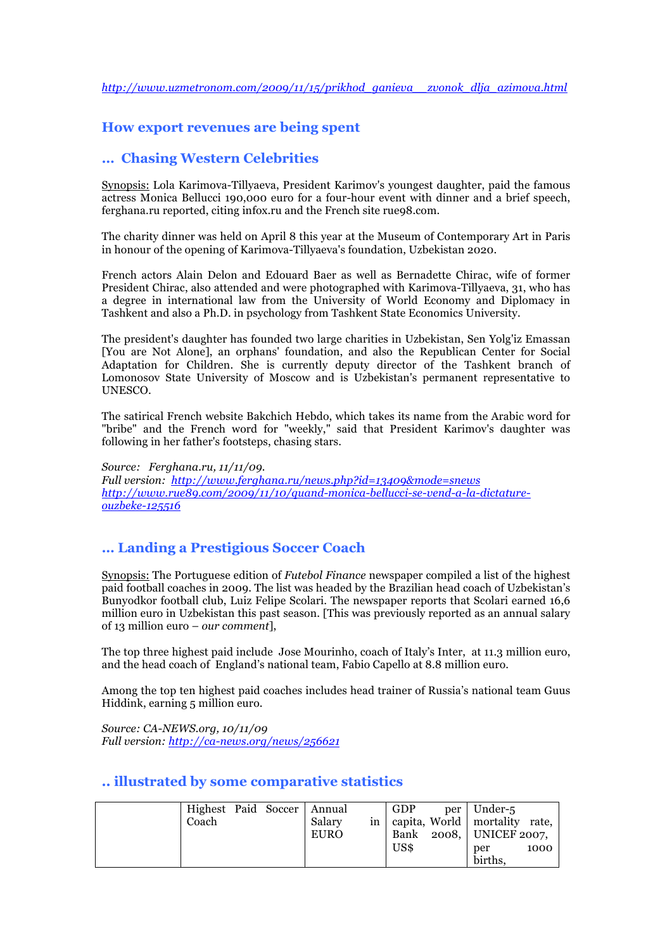## **How export revenues are being spent**

### **… Chasing Western Celebrities**

Synopsis: Lola Karimova-Tillyaeva, President Karimov's youngest daughter, paid the famous actress Monica Bellucci 190,000 euro for a four-hour event with dinner and a brief speech, ferghana.ru reported, citing infox.ru and the French site rue98.com.

The charity dinner was held on April 8 this year at the Museum of Contemporary Art in Paris in honour of the opening of Karimova-Tillyaeva's foundation, Uzbekistan 2020.

French actors Alain Delon and Edouard Baer as well as Bernadette Chirac, wife of former President Chirac, also attended and were photographed with Karimova-Tillyaeva, 31, who has a degree in international law from the University of World Economy and Diplomacy in Tashkent and also a Ph.D. in psychology from Tashkent State Economics University.

The president's daughter has founded two large charities in Uzbekistan, Sen Yolg'iz Emassan [You are Not Alone], an orphans' foundation, and also the Republican Center for Social Adaptation for Children. She is currently deputy director of the Tashkent branch of Lomonosov State University of Moscow and is Uzbekistan's permanent representative to UNESCO.

The satirical French website Bakchich Hebdo, which takes its name from the Arabic word for "bribe" and the French word for "weekly," said that President Karimov's daughter was following in her father's footsteps, chasing stars.

*Source: Ferghana.ru, 11/11/09. Full version: http://www.ferghana.ru/news.php?id=13409&mode=snews http://www.rue89.com/2009/11/10/quand-monica-bellucci-se-vend-a-la-dictatureouzbeke-125516*

# **… Landing a Prestigious Soccer Coach**

Synopsis: The Portuguese edition of *Futebol Finance* newspaper compiled a list of the highest paid football coaches in 2009. The list was headed by the Brazilian head coach of Uzbekistan's Bunyodkor football club, Luiz Felipe Scolari. The newspaper reports that Scolari earned 16,6 million euro in Uzbekistan this past season. [This was previously reported as an annual salary of 13 million euro – *our comment*],

The top three highest paid include Jose Mourinho, coach of Italy's Inter, at 11.3 million euro, and the head coach of England's national team, Fabio Capello at 8.8 million euro.

Among the top ten highest paid coaches includes head trainer of Russia's national team Guus Hiddink, earning 5 million euro.

*Source: CA-NEWS.org, 10/11/09 Full version: http://ca-news.org/news/256621*

#### **.. illustrated by some comparative statistics**

| Highest Paid Soccer   Annual<br>Coach | Salary<br>EURO | GDP<br>US\$ | per   Under-5<br>in   capita, World   mortality rate,<br>Bank 2008, UNICEF 2007,<br>1000<br>per<br>births. |
|---------------------------------------|----------------|-------------|------------------------------------------------------------------------------------------------------------|
|---------------------------------------|----------------|-------------|------------------------------------------------------------------------------------------------------------|